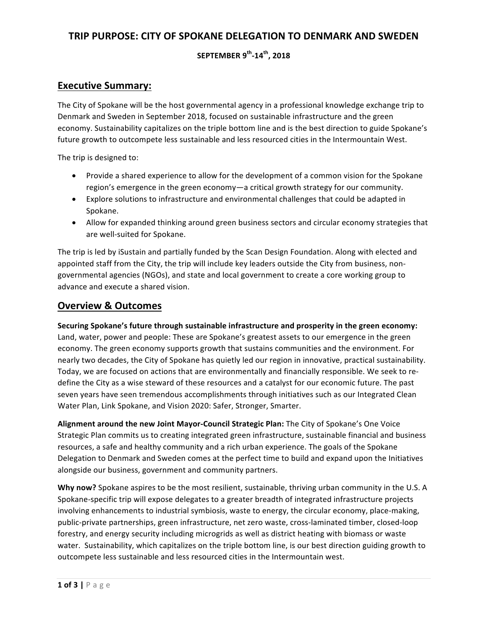# **TRIP PURPOSE: CITY OF SPOKANE DELEGATION TO DENMARK AND SWEDEN**

## **SEPTEMBER 9th-14th, 2018**

## **Executive Summary:**

The City of Spokane will be the host governmental agency in a professional knowledge exchange trip to Denmark and Sweden in September 2018, focused on sustainable infrastructure and the green economy. Sustainability capitalizes on the triple bottom line and is the best direction to guide Spokane's future growth to outcompete less sustainable and less resourced cities in the Intermountain West.

The trip is designed to:

- Provide a shared experience to allow for the development of a common vision for the Spokane region's emergence in the green economy—a critical growth strategy for our community.
- Explore solutions to infrastructure and environmental challenges that could be adapted in Spokane.
- Allow for expanded thinking around green business sectors and circular economy strategies that are well-suited for Spokane.

The trip is led by iSustain and partially funded by the Scan Design Foundation. Along with elected and appointed staff from the City, the trip will include key leaders outside the City from business, nongovernmental agencies (NGOs), and state and local government to create a core working group to advance and execute a shared vision.

## **Overview & Outcomes**

Securing Spokane's future through sustainable infrastructure and prosperity in the green economy: Land, water, power and people: These are Spokane's greatest assets to our emergence in the green economy. The green economy supports growth that sustains communities and the environment. For nearly two decades, the City of Spokane has quietly led our region in innovative, practical sustainability. Today, we are focused on actions that are environmentally and financially responsible. We seek to redefine the City as a wise steward of these resources and a catalyst for our economic future. The past seven years have seen tremendous accomplishments through initiatives such as our Integrated Clean Water Plan, Link Spokane, and Vision 2020: Safer, Stronger, Smarter.

Alignment around the new Joint Mayor-Council Strategic Plan: The City of Spokane's One Voice Strategic Plan commits us to creating integrated green infrastructure, sustainable financial and business resources, a safe and healthy community and a rich urban experience. The goals of the Spokane Delegation to Denmark and Sweden comes at the perfect time to build and expand upon the Initiatives alongside our business, government and community partners.

**Why now?** Spokane aspires to be the most resilient, sustainable, thriving urban community in the U.S. A Spokane-specific trip will expose delegates to a greater breadth of integrated infrastructure projects involving enhancements to industrial symbiosis, waste to energy, the circular economy, place-making, public-private partnerships, green infrastructure, net zero waste, cross-laminated timber, closed-loop forestry, and energy security including microgrids as well as district heating with biomass or waste water. Sustainability, which capitalizes on the triple bottom line, is our best direction guiding growth to outcompete less sustainable and less resourced cities in the Intermountain west.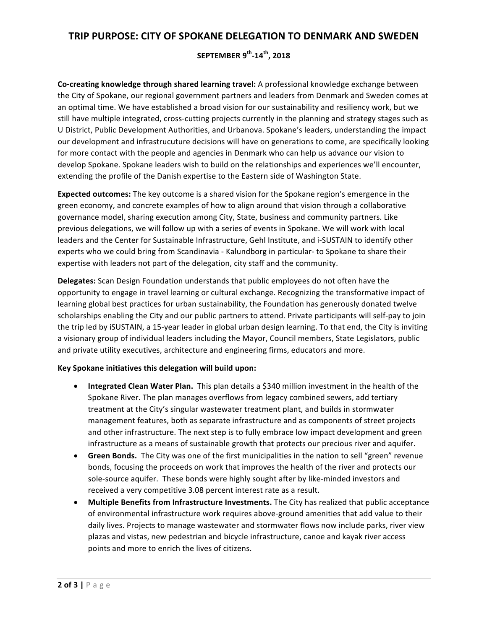## **TRIP PURPOSE: CITY OF SPOKANE DELEGATION TO DENMARK AND SWEDEN**

### **SEPTEMBER 9th-14th, 2018**

**Co-creating knowledge through shared learning travel:** A professional knowledge exchange between the City of Spokane, our regional government partners and leaders from Denmark and Sweden comes at an optimal time. We have established a broad vision for our sustainability and resiliency work, but we still have multiple integrated, cross-cutting projects currently in the planning and strategy stages such as U District, Public Development Authorities, and Urbanova. Spokane's leaders, understanding the impact our development and infrastrucuture decisions will have on generations to come, are specifically looking for more contact with the people and agencies in Denmark who can help us advance our vision to develop Spokane. Spokane leaders wish to build on the relationships and experiences we'll encounter, extending the profile of the Danish expertise to the Eastern side of Washington State.

**Expected outcomes:** The key outcome is a shared vision for the Spokane region's emergence in the green economy, and concrete examples of how to align around that vision through a collaborative governance model, sharing execution among City, State, business and community partners. Like previous delegations, we will follow up with a series of events in Spokane. We will work with local leaders and the Center for Sustainable Infrastructure, Gehl Institute, and i-SUSTAIN to identify other experts who we could bring from Scandinavia - Kalundborg in particular- to Spokane to share their expertise with leaders not part of the delegation, city staff and the community.

**Delegates:** Scan Design Foundation understands that public employees do not often have the opportunity to engage in travel learning or cultural exchange. Recognizing the transformative impact of learning global best practices for urban sustainability, the Foundation has generously donated twelve scholarships enabling the City and our public partners to attend. Private participants will self-pay to join the trip led by iSUSTAIN, a 15-year leader in global urban design learning. To that end, the City is inviting a visionary group of individual leaders including the Mayor, Council members, State Legislators, public and private utility executives, architecture and engineering firms, educators and more.

#### **Key Spokane initiatives this delegation will build upon:**

- Integrated Clean Water Plan. This plan details a \$340 million investment in the health of the Spokane River. The plan manages overflows from legacy combined sewers, add tertiary treatment at the City's singular wastewater treatment plant, and builds in stormwater management features, both as separate infrastructure and as components of street projects and other infrastructure. The next step is to fully embrace low impact development and green infrastructure as a means of sustainable growth that protects our precious river and aquifer.
- Green Bonds. The City was one of the first municipalities in the nation to sell "green" revenue bonds, focusing the proceeds on work that improves the health of the river and protects our sole-source aquifer. These bonds were highly sought after by like-minded investors and received a very competitive 3.08 percent interest rate as a result.
- Multiple Benefits from Infrastructure Investments. The City has realized that public acceptance of environmental infrastructure work requires above-ground amenities that add value to their daily lives. Projects to manage wastewater and stormwater flows now include parks, river view plazas and vistas, new pedestrian and bicycle infrastructure, canoe and kayak river access points and more to enrich the lives of citizens.